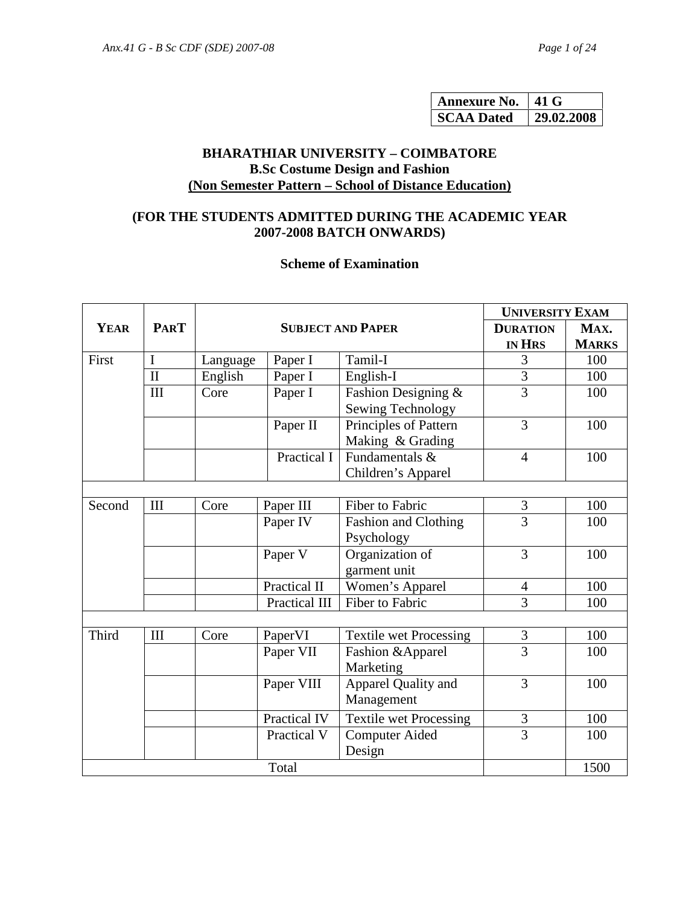| <b>Annexure No.</b> | 41 G       |
|---------------------|------------|
| <b>SCAA Dated</b>   | 29.02.2008 |

# **BHARATHIAR UNIVERSITY – COIMBATORE B.Sc Costume Design and Fashion (Non Semester Pattern – School of Distance Education)**

# **(FOR THE STUDENTS ADMITTED DURING THE ACADEMIC YEAR 2007-2008 BATCH ONWARDS)**

### **Scheme of Examination**

|             | <b>PART</b>  | <b>SUBJECT AND PAPER</b> |               | <b>UNIVERSITY EXAM</b>        |                |              |  |
|-------------|--------------|--------------------------|---------------|-------------------------------|----------------|--------------|--|
| <b>YEAR</b> |              |                          |               | <b>DURATION</b>               | MAX.           |              |  |
|             |              |                          |               |                               | <b>IN HRS</b>  | <b>MARKS</b> |  |
| First       | $\mathbf I$  | Language                 | Paper I       | Tamil-I                       | 3              | 100          |  |
|             | $\mathbf{I}$ | English                  | Paper I       | English-I                     | 3              | 100          |  |
|             | III          | Core                     | Paper I       | Fashion Designing &           | $\overline{3}$ | 100          |  |
|             |              |                          |               | Sewing Technology             |                |              |  |
|             |              |                          | Paper II      | Principles of Pattern         | 3              | 100          |  |
|             |              |                          |               | Making & Grading              |                |              |  |
|             |              |                          | Practical I   | Fundamentals $&$              | $\overline{4}$ | 100          |  |
|             |              |                          |               | Children's Apparel            |                |              |  |
|             |              |                          |               |                               |                |              |  |
| Second      | III          | Core                     | Paper III     | Fiber to Fabric               | 3              | 100          |  |
|             |              |                          | Paper IV      | Fashion and Clothing          | $\overline{3}$ | 100          |  |
|             |              |                          |               | Psychology                    |                |              |  |
|             |              |                          | Paper V       | Organization of               | 3              | 100          |  |
|             |              |                          |               | garment unit                  |                |              |  |
|             |              |                          | Practical II  | Women's Apparel               | $\overline{4}$ | 100          |  |
|             |              |                          | Practical III | Fiber to Fabric               | 3              | 100          |  |
|             |              |                          |               |                               |                |              |  |
| Third       | III          | Core                     | PaperVI       | <b>Textile wet Processing</b> | $\mathfrak{Z}$ | 100          |  |
|             |              |                          | Paper VII     | Fashion & Apparel             | $\overline{3}$ | 100          |  |
|             |              |                          |               | Marketing                     |                |              |  |
|             |              |                          | Paper VIII    | Apparel Quality and           | 3              | 100          |  |
|             |              |                          |               | Management                    |                |              |  |
|             |              |                          | Practical IV  | Textile wet Processing        | 3              | 100          |  |
|             |              |                          | Practical V   | <b>Computer Aided</b>         | $\overline{3}$ | 100          |  |
|             |              |                          |               | Design                        |                |              |  |
| Total       |              |                          |               | 1500                          |                |              |  |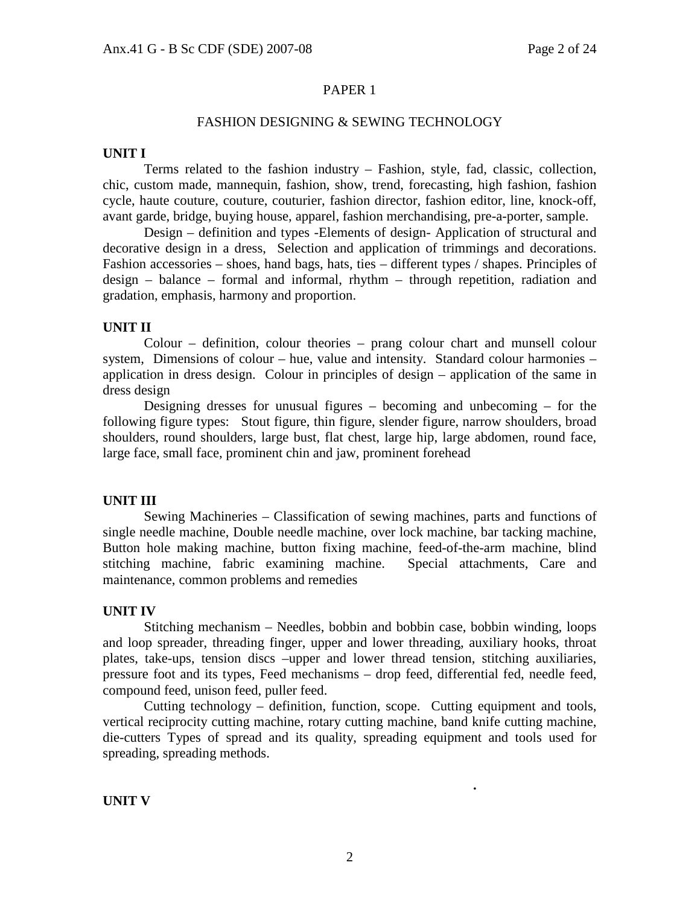#### PAPER 1

#### FASHION DESIGNING & SEWING TECHNOLOGY

#### **UNIT I**

 Terms related to the fashion industry – Fashion, style, fad, classic, collection, chic, custom made, mannequin, fashion, show, trend, forecasting, high fashion, fashion cycle, haute couture, couture, couturier, fashion director, fashion editor, line, knock-off, avant garde, bridge, buying house, apparel, fashion merchandising, pre-a-porter, sample.

 Design – definition and types -Elements of design- Application of structural and decorative design in a dress, Selection and application of trimmings and decorations. Fashion accessories – shoes, hand bags, hats, ties – different types / shapes. Principles of design – balance – formal and informal, rhythm – through repetition, radiation and gradation, emphasis, harmony and proportion.

#### **UNIT II**

 Colour – definition, colour theories – prang colour chart and munsell colour system, Dimensions of colour – hue, value and intensity. Standard colour harmonies – application in dress design. Colour in principles of design – application of the same in dress design

 Designing dresses for unusual figures – becoming and unbecoming – for the following figure types: Stout figure, thin figure, slender figure, narrow shoulders, broad shoulders, round shoulders, large bust, flat chest, large hip, large abdomen, round face, large face, small face, prominent chin and jaw, prominent forehead

#### **UNIT III**

 Sewing Machineries – Classification of sewing machines, parts and functions of single needle machine, Double needle machine, over lock machine, bar tacking machine, Button hole making machine, button fixing machine, feed-of-the-arm machine, blind stitching machine, fabric examining machine. Special attachments, Care and maintenance, common problems and remedies

#### **UNIT IV**

 Stitching mechanism – Needles, bobbin and bobbin case, bobbin winding, loops and loop spreader, threading finger, upper and lower threading, auxiliary hooks, throat plates, take-ups, tension discs –upper and lower thread tension, stitching auxiliaries, pressure foot and its types, Feed mechanisms – drop feed, differential fed, needle feed, compound feed, unison feed, puller feed.

 Cutting technology – definition, function, scope. Cutting equipment and tools, vertical reciprocity cutting machine, rotary cutting machine, band knife cutting machine, die-cutters Types of spread and its quality, spreading equipment and tools used for spreading, spreading methods.

 **.** 

#### **UNIT V**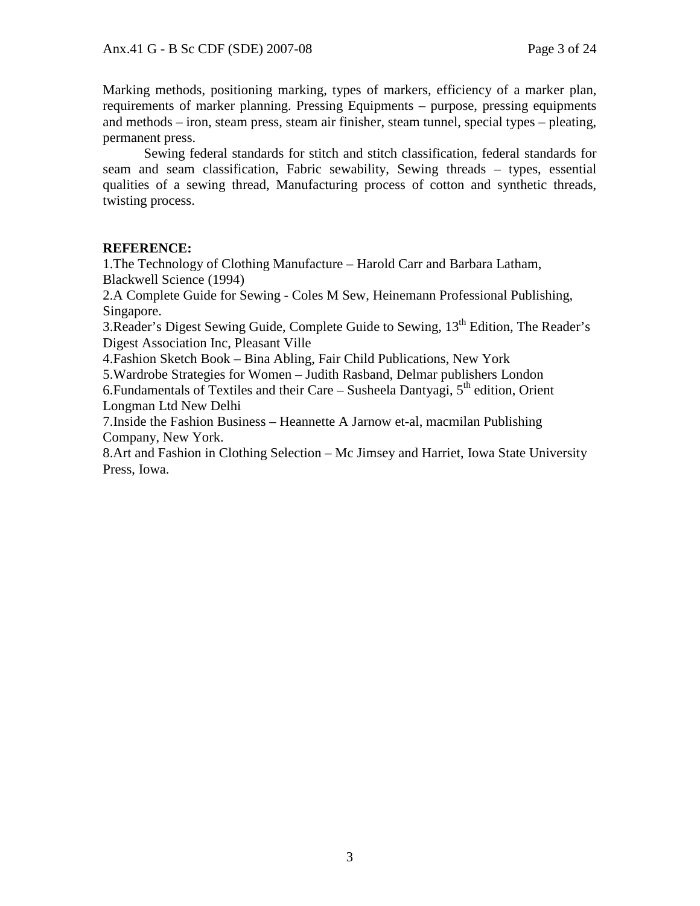Marking methods, positioning marking, types of markers, efficiency of a marker plan, requirements of marker planning. Pressing Equipments – purpose, pressing equipments and methods – iron, steam press, steam air finisher, steam tunnel, special types – pleating, permanent press.

 Sewing federal standards for stitch and stitch classification, federal standards for seam and seam classification, Fabric sewability, Sewing threads – types, essential qualities of a sewing thread, Manufacturing process of cotton and synthetic threads, twisting process.

# **REFERENCE:**

1.The Technology of Clothing Manufacture – Harold Carr and Barbara Latham, Blackwell Science (1994)

2.A Complete Guide for Sewing - Coles M Sew, Heinemann Professional Publishing, Singapore.

3.Reader's Digest Sewing Guide, Complete Guide to Sewing, 13th Edition, The Reader's Digest Association Inc, Pleasant Ville

4.Fashion Sketch Book – Bina Abling, Fair Child Publications, New York

5.Wardrobe Strategies for Women – Judith Rasband, Delmar publishers London 6. Fundamentals of Textiles and their Care – Susheela Dantyagi,  $5<sup>th</sup>$  edition, Orient Longman Ltd New Delhi

7.Inside the Fashion Business – Heannette A Jarnow et-al, macmilan Publishing Company, New York.

8.Art and Fashion in Clothing Selection – Mc Jimsey and Harriet, Iowa State University Press, Iowa.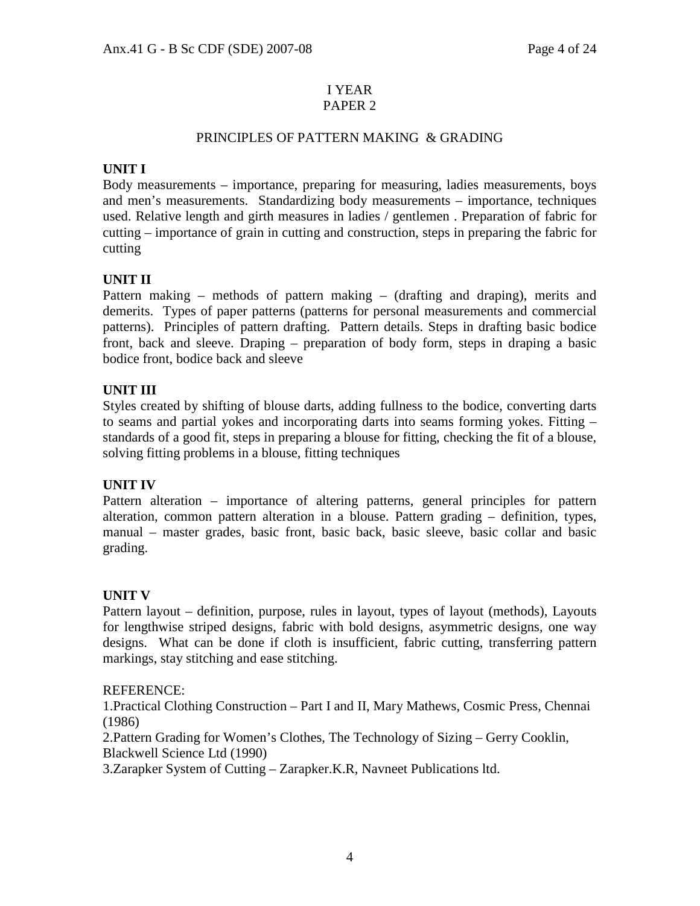#### I YEAR PAPER 2

# PRINCIPLES OF PATTERN MAKING & GRADING

# **UNIT I**

Body measurements – importance, preparing for measuring, ladies measurements, boys and men's measurements. Standardizing body measurements – importance, techniques used. Relative length and girth measures in ladies / gentlemen . Preparation of fabric for cutting – importance of grain in cutting and construction, steps in preparing the fabric for cutting

# **UNIT II**

Pattern making – methods of pattern making – (drafting and draping), merits and demerits. Types of paper patterns (patterns for personal measurements and commercial patterns). Principles of pattern drafting. Pattern details. Steps in drafting basic bodice front, back and sleeve. Draping – preparation of body form, steps in draping a basic bodice front, bodice back and sleeve

# **UNIT III**

Styles created by shifting of blouse darts, adding fullness to the bodice, converting darts to seams and partial yokes and incorporating darts into seams forming yokes. Fitting – standards of a good fit, steps in preparing a blouse for fitting, checking the fit of a blouse, solving fitting problems in a blouse, fitting techniques

# **UNIT IV**

Pattern alteration – importance of altering patterns, general principles for pattern alteration, common pattern alteration in a blouse. Pattern grading – definition, types, manual – master grades, basic front, basic back, basic sleeve, basic collar and basic grading.

# **UNIT V**

Pattern layout – definition, purpose, rules in layout, types of layout (methods), Layouts for lengthwise striped designs, fabric with bold designs, asymmetric designs, one way designs. What can be done if cloth is insufficient, fabric cutting, transferring pattern markings, stay stitching and ease stitching.

### REFERENCE:

1.Practical Clothing Construction – Part I and II, Mary Mathews, Cosmic Press, Chennai (1986)

2.Pattern Grading for Women's Clothes, The Technology of Sizing – Gerry Cooklin, Blackwell Science Ltd (1990)

3.Zarapker System of Cutting – Zarapker.K.R, Navneet Publications ltd.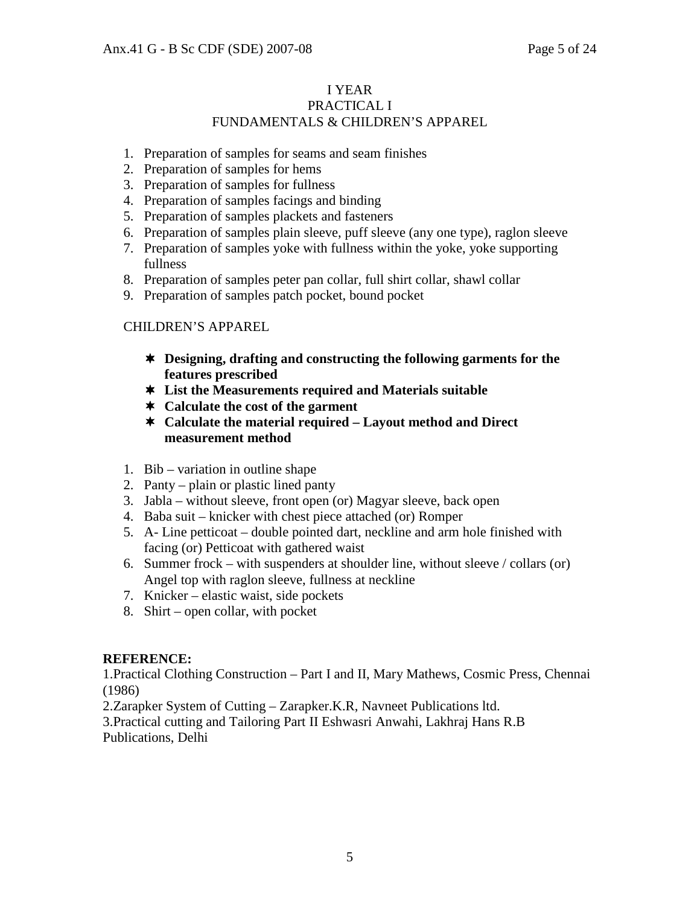### I YEAR PRACTICAL I FUNDAMENTALS & CHILDREN'S APPAREL

- 1. Preparation of samples for seams and seam finishes
- 2. Preparation of samples for hems
- 3. Preparation of samples for fullness
- 4. Preparation of samples facings and binding
- 5. Preparation of samples plackets and fasteners
- 6. Preparation of samples plain sleeve, puff sleeve (any one type), raglon sleeve
- 7. Preparation of samples yoke with fullness within the yoke, yoke supporting fullness
- 8. Preparation of samples peter pan collar, full shirt collar, shawl collar
- 9. Preparation of samples patch pocket, bound pocket

# CHILDREN'S APPAREL

- **Designing, drafting and constructing the following garments for the features prescribed**
- **List the Measurements required and Materials suitable**
- **Calculate the cost of the garment**
- **Calculate the material required Layout method and Direct measurement method**
- 1. Bib variation in outline shape
- 2. Panty plain or plastic lined panty
- 3. Jabla without sleeve, front open (or) Magyar sleeve, back open
- 4. Baba suit knicker with chest piece attached (or) Romper
- 5. A- Line petticoat double pointed dart, neckline and arm hole finished with facing (or) Petticoat with gathered waist
- 6. Summer frock with suspenders at shoulder line, without sleeve / collars (or) Angel top with raglon sleeve, fullness at neckline
- 7. Knicker elastic waist, side pockets
- 8. Shirt open collar, with pocket

### **REFERENCE:**

1.Practical Clothing Construction – Part I and II, Mary Mathews, Cosmic Press, Chennai (1986)

2.Zarapker System of Cutting – Zarapker.K.R, Navneet Publications ltd.

3.Practical cutting and Tailoring Part II Eshwasri Anwahi, Lakhraj Hans R.B Publications, Delhi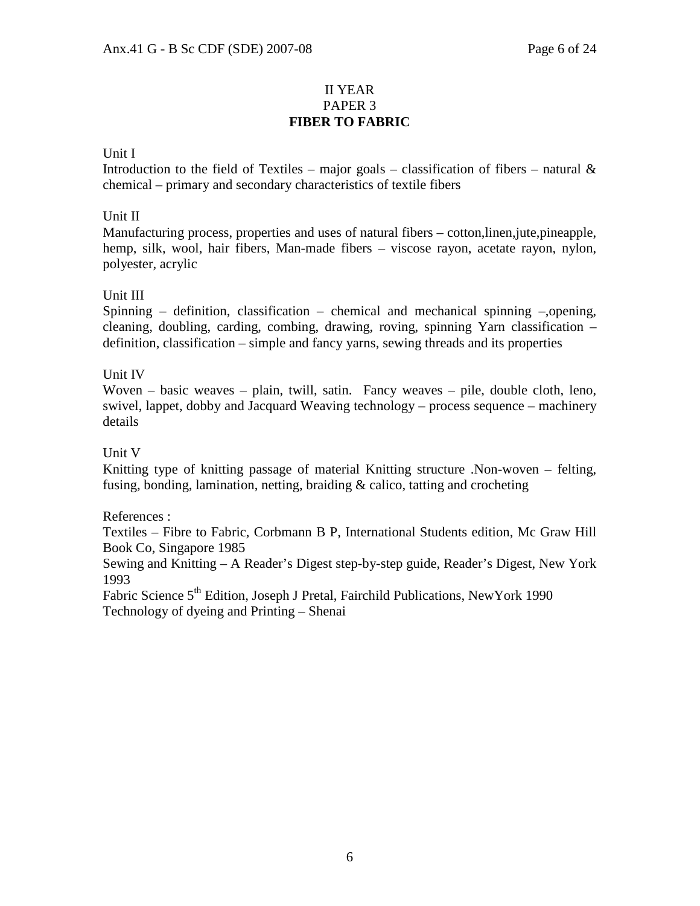# II YEAR PAPER 3 **FIBER TO FABRIC**

# Unit I

Introduction to the field of Textiles – major goals – classification of fibers – natural  $\&$ chemical – primary and secondary characteristics of textile fibers

### Unit II

Manufacturing process, properties and uses of natural fibers – cotton,linen,jute,pineapple, hemp, silk, wool, hair fibers, Man-made fibers – viscose rayon, acetate rayon, nylon, polyester, acrylic

### Unit III

Spinning – definition, classification – chemical and mechanical spinning –,opening, cleaning, doubling, carding, combing, drawing, roving, spinning Yarn classification – definition, classification – simple and fancy yarns, sewing threads and its properties

### Unit IV

Woven – basic weaves – plain, twill, satin. Fancy weaves – pile, double cloth, leno, swivel, lappet, dobby and Jacquard Weaving technology – process sequence – machinery details

### Unit V

Knitting type of knitting passage of material Knitting structure .Non-woven – felting, fusing, bonding, lamination, netting, braiding & calico, tatting and crocheting

### References :

Textiles – Fibre to Fabric, Corbmann B P, International Students edition, Mc Graw Hill Book Co, Singapore 1985

Sewing and Knitting – A Reader's Digest step-by-step guide, Reader's Digest, New York 1993

Fabric Science 5<sup>th</sup> Edition, Joseph J Pretal, Fairchild Publications, NewYork 1990 Technology of dyeing and Printing – Shenai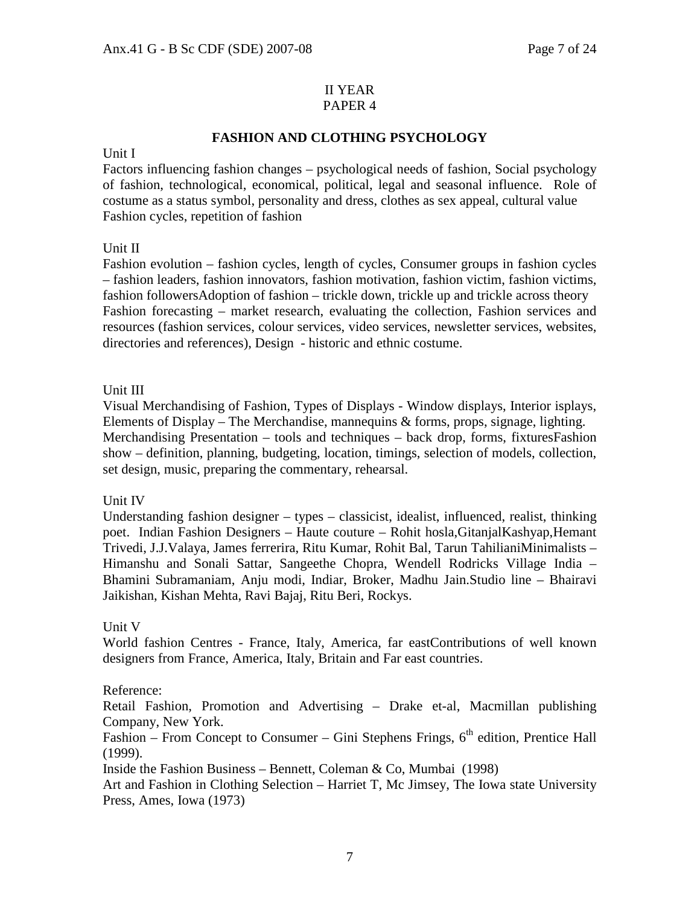#### II YEAR PAPER 4

# **FASHION AND CLOTHING PSYCHOLOGY**

#### Unit I

Factors influencing fashion changes – psychological needs of fashion, Social psychology of fashion, technological, economical, political, legal and seasonal influence. Role of costume as a status symbol, personality and dress, clothes as sex appeal, cultural value Fashion cycles, repetition of fashion

### Unit II

Fashion evolution – fashion cycles, length of cycles, Consumer groups in fashion cycles – fashion leaders, fashion innovators, fashion motivation, fashion victim, fashion victims, fashion followersAdoption of fashion – trickle down, trickle up and trickle across theory Fashion forecasting – market research, evaluating the collection, Fashion services and resources (fashion services, colour services, video services, newsletter services, websites, directories and references), Design - historic and ethnic costume.

### Unit III

Visual Merchandising of Fashion, Types of Displays - Window displays, Interior isplays, Elements of Display – The Merchandise, mannequins & forms, props, signage, lighting. Merchandising Presentation – tools and techniques – back drop, forms, fixturesFashion show – definition, planning, budgeting, location, timings, selection of models, collection, set design, music, preparing the commentary, rehearsal.

### Unit IV

Understanding fashion designer – types – classicist, idealist, influenced, realist, thinking poet. Indian Fashion Designers – Haute couture – Rohit hosla,GitanjalKashyap,Hemant Trivedi, J.J.Valaya, James ferrerira, Ritu Kumar, Rohit Bal, Tarun TahilianiMinimalists – Himanshu and Sonali Sattar, Sangeethe Chopra, Wendell Rodricks Village India – Bhamini Subramaniam, Anju modi, Indiar, Broker, Madhu Jain.Studio line – Bhairavi Jaikishan, Kishan Mehta, Ravi Bajaj, Ritu Beri, Rockys.

### Unit V

World fashion Centres - France, Italy, America, far eastContributions of well known designers from France, America, Italy, Britain and Far east countries.

### Reference:

Retail Fashion, Promotion and Advertising – Drake et-al, Macmillan publishing Company, New York.

Fashion – From Concept to Consumer – Gini Stephens Frings,  $6<sup>th</sup>$  edition, Prentice Hall (1999).

Inside the Fashion Business – Bennett, Coleman & Co, Mumbai (1998)

Art and Fashion in Clothing Selection – Harriet T, Mc Jimsey, The Iowa state University Press, Ames, Iowa (1973)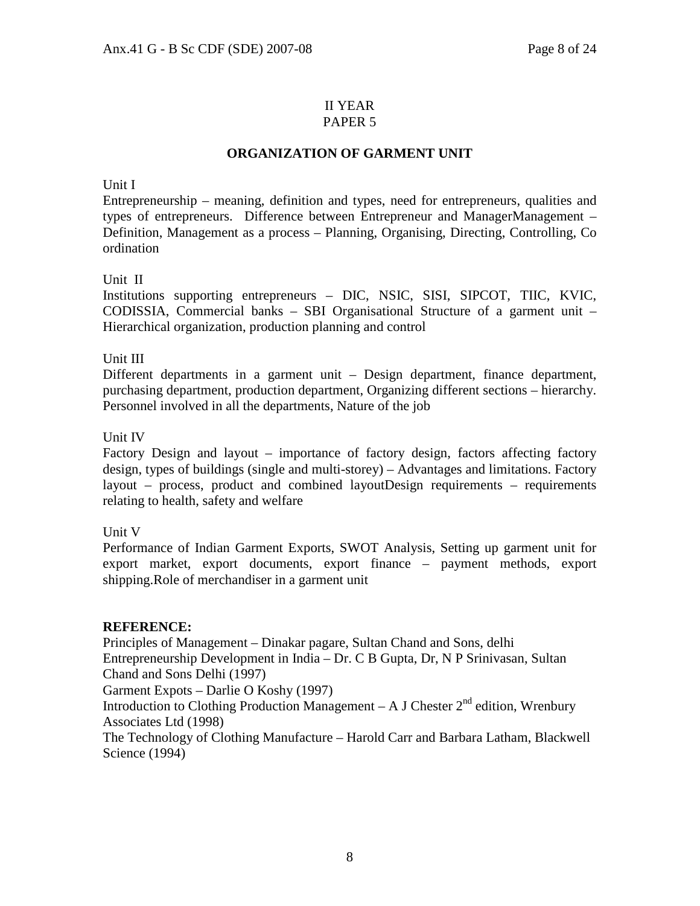# II YEAR

# PAPER 5

# **ORGANIZATION OF GARMENT UNIT**

Unit I

Entrepreneurship – meaning, definition and types, need for entrepreneurs, qualities and types of entrepreneurs. Difference between Entrepreneur and ManagerManagement – Definition, Management as a process – Planning, Organising, Directing, Controlling, Co ordination

Unit II

Institutions supporting entrepreneurs – DIC, NSIC, SISI, SIPCOT, TIIC, KVIC, CODISSIA, Commercial banks – SBI Organisational Structure of a garment unit – Hierarchical organization, production planning and control

# Unit III

Different departments in a garment unit – Design department, finance department, purchasing department, production department, Organizing different sections – hierarchy. Personnel involved in all the departments, Nature of the job

# Unit IV

Factory Design and layout – importance of factory design, factors affecting factory design, types of buildings (single and multi-storey) – Advantages and limitations. Factory layout – process, product and combined layoutDesign requirements – requirements relating to health, safety and welfare

# Unit V

Performance of Indian Garment Exports, SWOT Analysis, Setting up garment unit for export market, export documents, export finance – payment methods, export shipping.Role of merchandiser in a garment unit

# **REFERENCE:**

Principles of Management – Dinakar pagare, Sultan Chand and Sons, delhi

Entrepreneurship Development in India – Dr. C B Gupta, Dr, N P Srinivasan, Sultan Chand and Sons Delhi (1997)

Garment Expots – Darlie O Koshy (1997)

Introduction to Clothing Production Management – A J Chester  $2^{nd}$  edition, Wrenbury Associates Ltd (1998)

The Technology of Clothing Manufacture – Harold Carr and Barbara Latham, Blackwell Science (1994)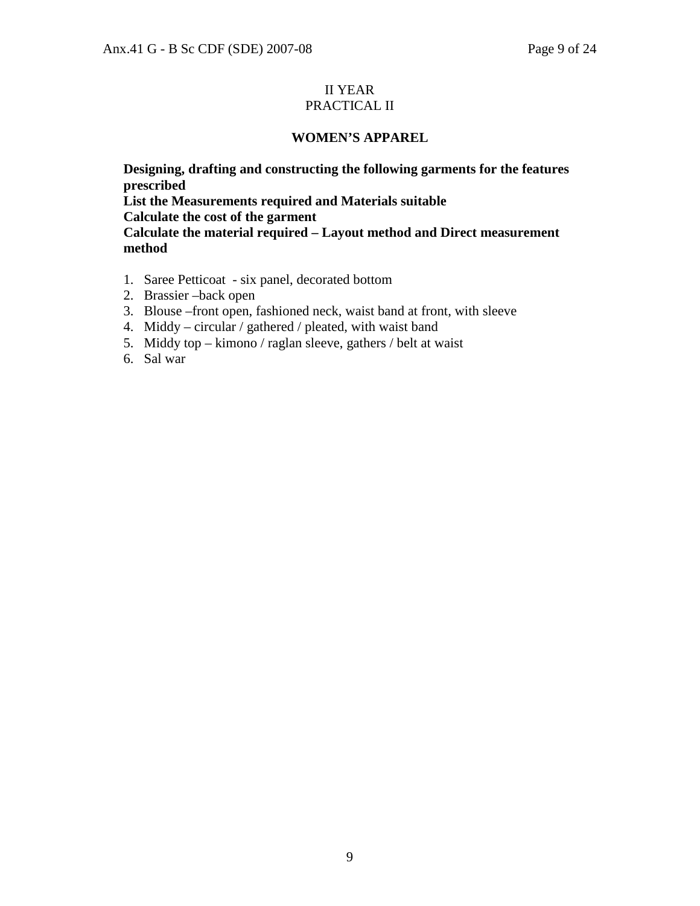#### II YEAR PRACTICAL II

# **WOMEN'S APPAREL**

**Designing, drafting and constructing the following garments for the features prescribed List the Measurements required and Materials suitable Calculate the cost of the garment Calculate the material required – Layout method and Direct measurement method** 

- 1. Saree Petticoat six panel, decorated bottom
- 2. Brassier –back open
- 3. Blouse –front open, fashioned neck, waist band at front, with sleeve
- 4. Middy circular / gathered / pleated, with waist band
- 5. Middy top kimono / raglan sleeve, gathers / belt at waist
- 6. Sal war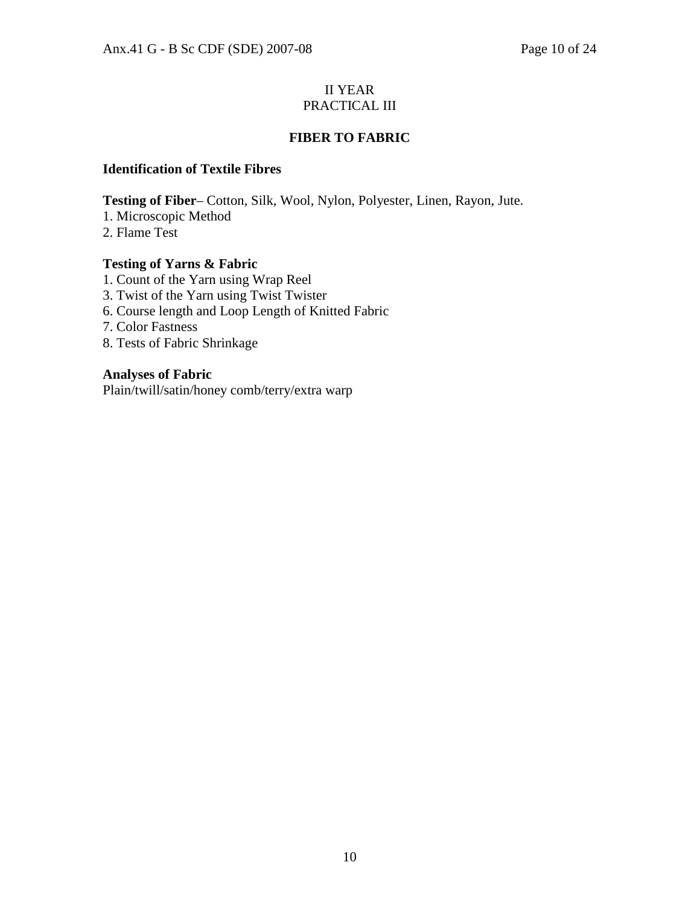# II YEAR PRACTICAL III

# **FIBER TO FABRIC**

### **Identification of Textile Fibres**

**Testing of Fiber**– Cotton, Silk, Wool, Nylon, Polyester, Linen, Rayon, Jute.

- 1. Microscopic Method
- 2. Flame Test

# **Testing of Yarns & Fabric**

- 1. Count of the Yarn using Wrap Reel
- 3. Twist of the Yarn using Twist Twister
- 6. Course length and Loop Length of Knitted Fabric
- 7. Color Fastness
- 8. Tests of Fabric Shrinkage

# **Analyses of Fabric**

Plain/twill/satin/honey comb/terry/extra warp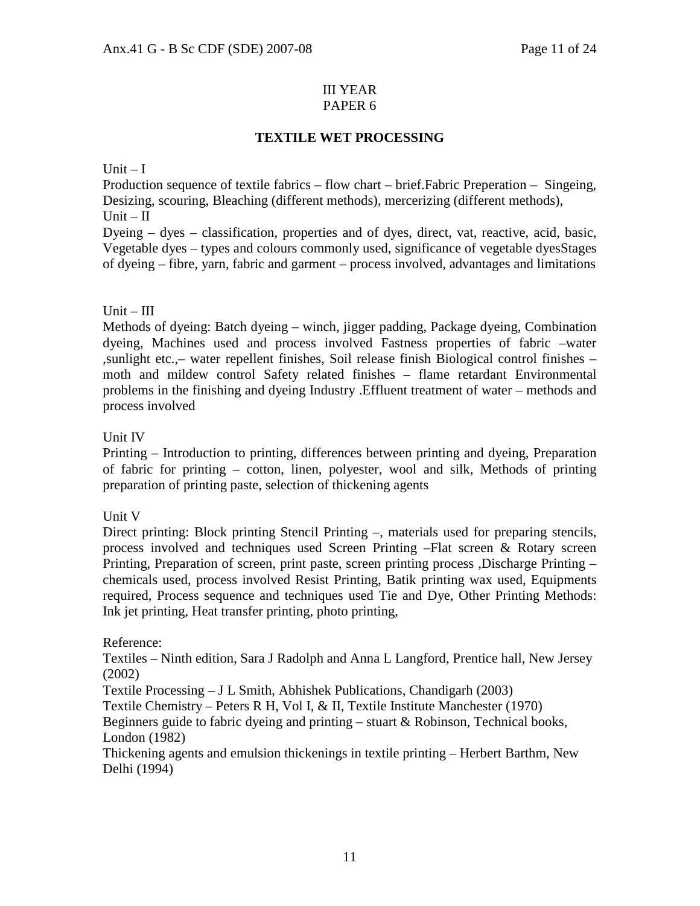#### III YEAR PAPER 6

# **TEXTILE WET PROCESSING**

### $Unit - I$

Production sequence of textile fabrics – flow chart – brief.Fabric Preperation – Singeing, Desizing, scouring, Bleaching (different methods), mercerizing (different methods),  $Unit - II$ 

Dyeing – dyes – classification, properties and of dyes, direct, vat, reactive, acid, basic, Vegetable dyes – types and colours commonly used, significance of vegetable dyesStages of dyeing – fibre, yarn, fabric and garment – process involved, advantages and limitations

# $Unit - III$

Methods of dyeing: Batch dyeing – winch, jigger padding, Package dyeing, Combination dyeing, Machines used and process involved Fastness properties of fabric –water ,sunlight etc.,– water repellent finishes, Soil release finish Biological control finishes – moth and mildew control Safety related finishes – flame retardant Environmental problems in the finishing and dyeing Industry .Effluent treatment of water – methods and process involved

# Unit IV

Printing – Introduction to printing, differences between printing and dyeing, Preparation of fabric for printing – cotton, linen, polyester, wool and silk, Methods of printing preparation of printing paste, selection of thickening agents

### Unit V

Direct printing: Block printing Stencil Printing –, materials used for preparing stencils, process involved and techniques used Screen Printing –Flat screen & Rotary screen Printing, Preparation of screen, print paste, screen printing process ,Discharge Printing – chemicals used, process involved Resist Printing, Batik printing wax used, Equipments required, Process sequence and techniques used Tie and Dye, Other Printing Methods: Ink jet printing, Heat transfer printing, photo printing,

### Reference:

Textiles – Ninth edition, Sara J Radolph and Anna L Langford, Prentice hall, New Jersey (2002)

Textile Processing – J L Smith, Abhishek Publications, Chandigarh (2003)

Textile Chemistry – Peters R H, Vol I, & II, Textile Institute Manchester (1970)

Beginners guide to fabric dyeing and printing  $-$  stuart  $\&$  Robinson, Technical books, London (1982)

Thickening agents and emulsion thickenings in textile printing – Herbert Barthm, New Delhi (1994)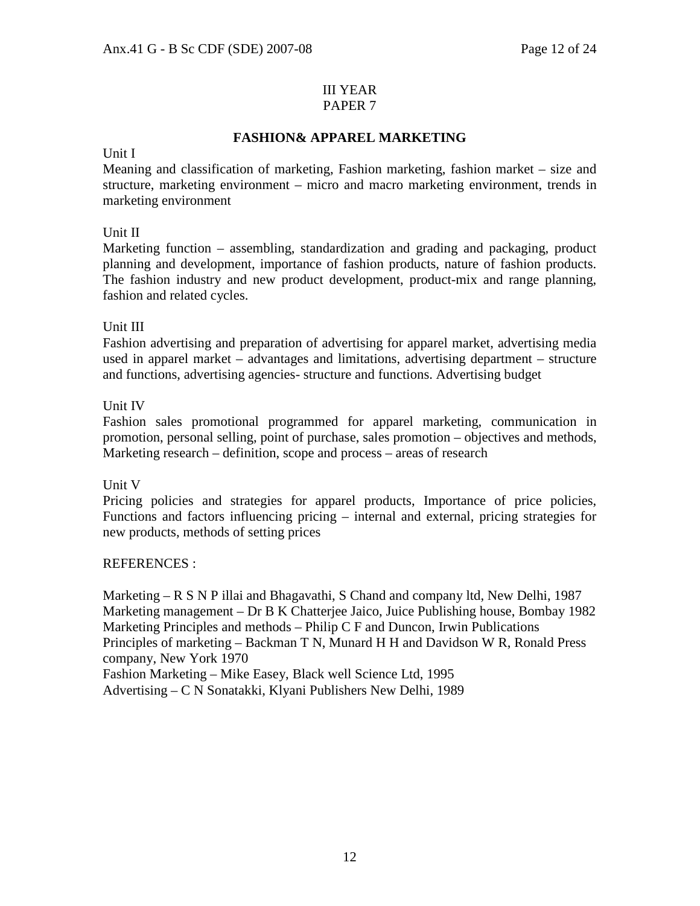#### III YEAR PAPER 7

# **FASHION& APPAREL MARKETING**

#### Unit I

Meaning and classification of marketing, Fashion marketing, fashion market – size and structure, marketing environment – micro and macro marketing environment, trends in marketing environment

### Unit II

Marketing function – assembling, standardization and grading and packaging, product planning and development, importance of fashion products, nature of fashion products. The fashion industry and new product development, product-mix and range planning, fashion and related cycles.

### Unit III

Fashion advertising and preparation of advertising for apparel market, advertising media used in apparel market – advantages and limitations, advertising department – structure and functions, advertising agencies- structure and functions. Advertising budget

### Unit IV

Fashion sales promotional programmed for apparel marketing, communication in promotion, personal selling, point of purchase, sales promotion – objectives and methods, Marketing research – definition, scope and process – areas of research

### Unit V

Pricing policies and strategies for apparel products, Importance of price policies, Functions and factors influencing pricing – internal and external, pricing strategies for new products, methods of setting prices

### REFERENCES :

Marketing – R S N P illai and Bhagavathi, S Chand and company ltd, New Delhi, 1987 Marketing management – Dr B K Chatterjee Jaico, Juice Publishing house, Bombay 1982 Marketing Principles and methods – Philip C F and Duncon, Irwin Publications Principles of marketing – Backman T N, Munard H H and Davidson W R, Ronald Press company, New York 1970 Fashion Marketing – Mike Easey, Black well Science Ltd, 1995

Advertising – C N Sonatakki, Klyani Publishers New Delhi, 1989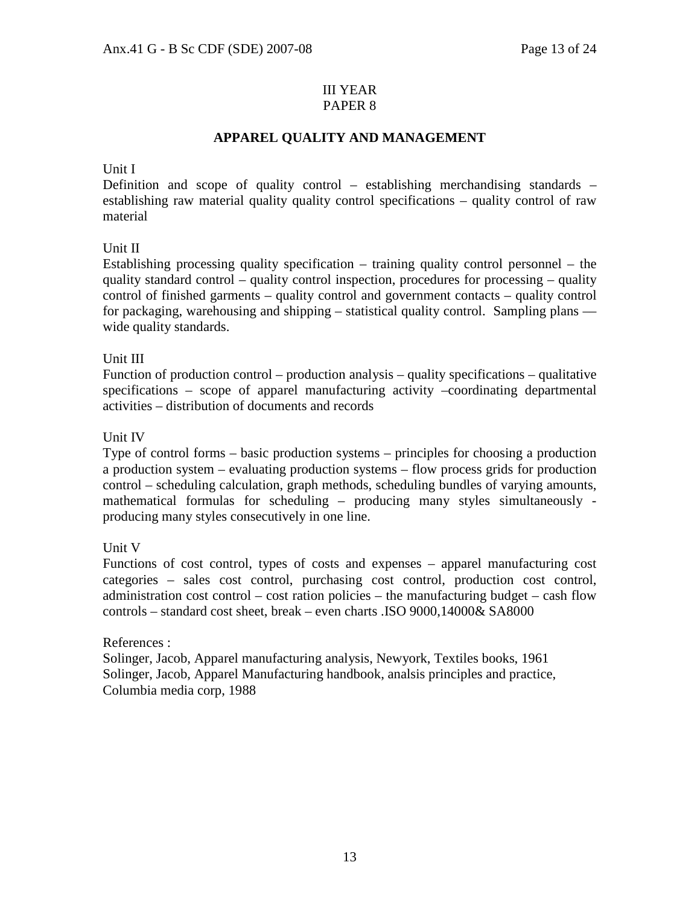#### III YEAR PAPER 8

# **APPAREL QUALITY AND MANAGEMENT**

### Unit I

Definition and scope of quality control – establishing merchandising standards – establishing raw material quality quality control specifications – quality control of raw material

# Unit II

Establishing processing quality specification – training quality control personnel – the quality standard control – quality control inspection, procedures for processing – quality control of finished garments – quality control and government contacts – quality control for packaging, warehousing and shipping – statistical quality control. Sampling plans –– wide quality standards.

# Unit III

Function of production control – production analysis – quality specifications – qualitative specifications – scope of apparel manufacturing activity –coordinating departmental activities – distribution of documents and records

# Unit IV

Type of control forms – basic production systems – principles for choosing a production a production system – evaluating production systems – flow process grids for production control – scheduling calculation, graph methods, scheduling bundles of varying amounts, mathematical formulas for scheduling – producing many styles simultaneously producing many styles consecutively in one line.

# Unit V

Functions of cost control, types of costs and expenses – apparel manufacturing cost categories – sales cost control, purchasing cost control, production cost control, administration cost control – cost ration policies – the manufacturing budget – cash flow controls – standard cost sheet, break – even charts .ISO 9000,14000& SA8000

### References :

Solinger, Jacob, Apparel manufacturing analysis, Newyork, Textiles books, 1961 Solinger, Jacob, Apparel Manufacturing handbook, analsis principles and practice, Columbia media corp, 1988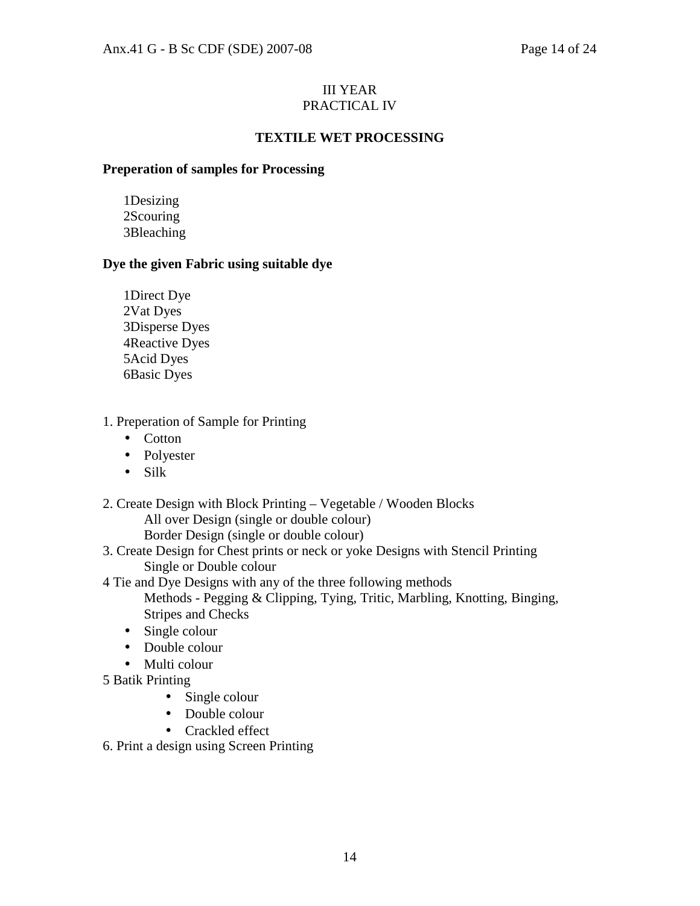# III YEAR PRACTICAL IV

# **TEXTILE WET PROCESSING**

# **Preperation of samples for Processing**

1Desizing 2Scouring 3Bleaching

# **Dye the given Fabric using suitable dye**

1Direct Dye 2Vat Dyes 3Disperse Dyes 4Reactive Dyes 5Acid Dyes 6Basic Dyes

# 1. Preperation of Sample for Printing

- Cotton
- Polyester
- Silk
- 2. Create Design with Block Printing Vegetable / Wooden Blocks All over Design (single or double colour) Border Design (single or double colour)
- 3. Create Design for Chest prints or neck or yoke Designs with Stencil Printing Single or Double colour
- 4 Tie and Dye Designs with any of the three following methods
	- Methods Pegging & Clipping, Tying, Tritic, Marbling, Knotting, Binging, Stripes and Checks
	- Single colour
	- Double colour
	- Multi colour
- 5 Batik Printing
	- Single colour
	- Double colour
	- Crackled effect
- 6. Print a design using Screen Printing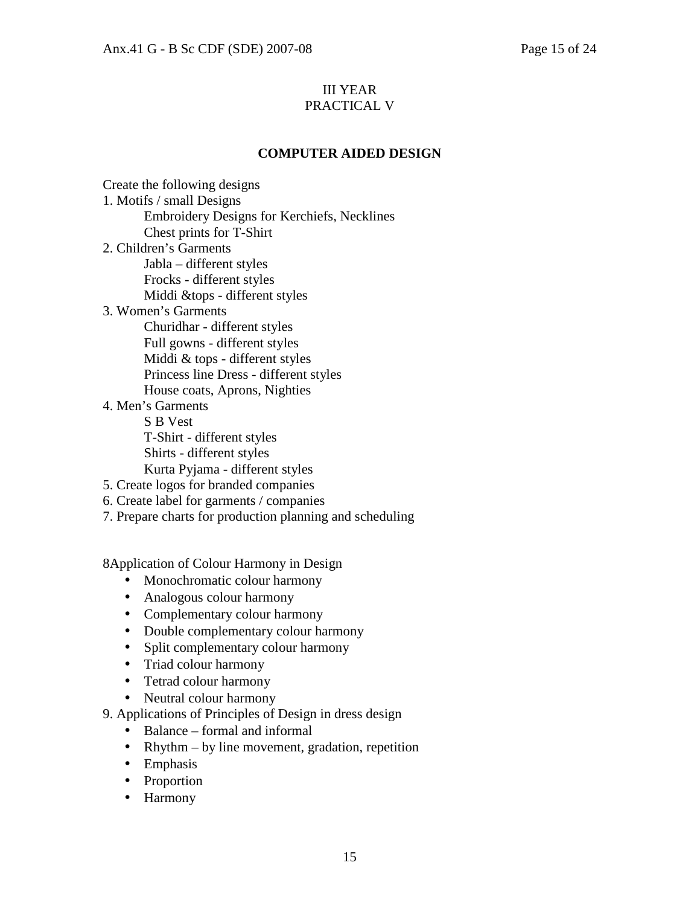# III YEAR PRACTICAL V

# **COMPUTER AIDED DESIGN**

Create the following designs 1. Motifs / small Designs Embroidery Designs for Kerchiefs, Necklines Chest prints for T-Shirt 2. Children's Garments Jabla – different styles Frocks - different styles Middi &tops - different styles 3. Women's Garments Churidhar - different styles Full gowns - different styles Middi & tops - different styles Princess line Dress - different styles House coats, Aprons, Nighties 4. Men's Garments S B Vest T-Shirt - different styles Shirts - different styles Kurta Pyjama - different styles 5. Create logos for branded companies 6. Create label for garments / companies 7. Prepare charts for production planning and scheduling

8Application of Colour Harmony in Design

- Monochromatic colour harmony
- Analogous colour harmony
- Complementary colour harmony
- Double complementary colour harmony
- Split complementary colour harmony
- Triad colour harmony
- Tetrad colour harmony
- Neutral colour harmony
- 9. Applications of Principles of Design in dress design
	- Balance formal and informal
	- Rhythm by line movement, gradation, repetition
	- Emphasis
	- Proportion
	- Harmony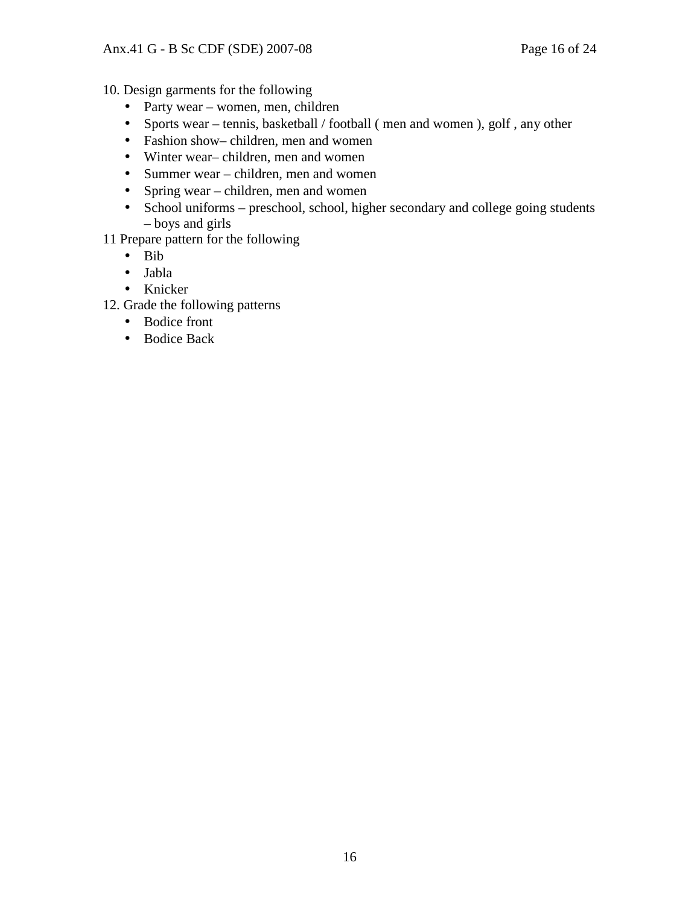10. Design garments for the following

- Party wear women, men, children
- Sports wear tennis, basketball / football ( men and women ), golf, any other
- Fashion show– children, men and women
- Winter wear– children, men and women
- Summer wear children, men and women
- Spring wear children, men and women
- School uniforms preschool, school, higher secondary and college going students – boys and girls
- 11 Prepare pattern for the following
	- Bib
	- Jabla
	- Knicker
- 12. Grade the following patterns
	- Bodice front
	- Bodice Back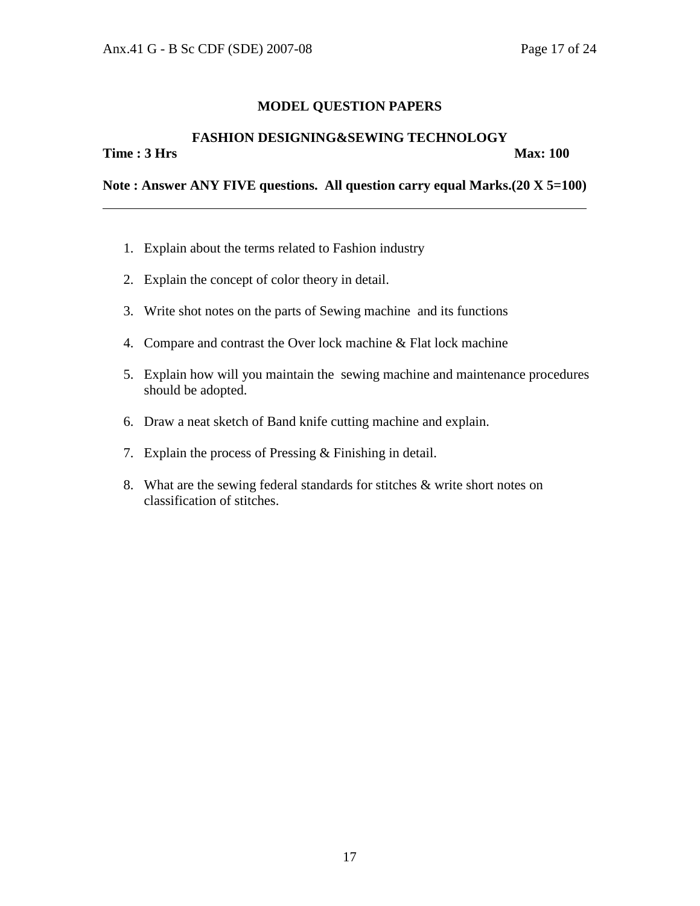#### **FASHION DESIGNING&SEWING TECHNOLOGY**

**Time : 3 Hrs** Max: 100

**Note : Answer ANY FIVE questions. All question carry equal Marks.(20 X 5=100)** 

- 1. Explain about the terms related to Fashion industry
- 2. Explain the concept of color theory in detail.
- 3. Write shot notes on the parts of Sewing machine and its functions
- 4. Compare and contrast the Over lock machine & Flat lock machine
- 5. Explain how will you maintain the sewing machine and maintenance procedures should be adopted.
- 6. Draw a neat sketch of Band knife cutting machine and explain.
- 7. Explain the process of Pressing & Finishing in detail.
- 8. What are the sewing federal standards for stitches & write short notes on classification of stitches.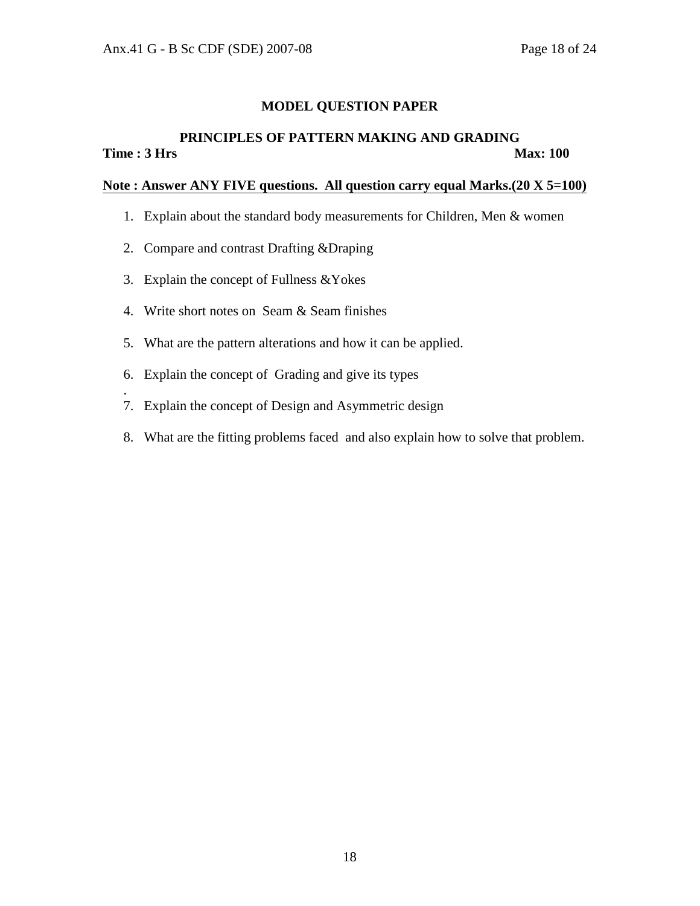#### **PRINCIPLES OF PATTERN MAKING AND GRADING Time : 3 Hrs** Max: 100

# **Note : Answer ANY FIVE questions. All question carry equal Marks.(20 X 5=100)**

- 1. Explain about the standard body measurements for Children, Men & women
- 2. Compare and contrast Drafting &Draping
- 3. Explain the concept of Fullness &Yokes

.

- 4. Write short notes on Seam & Seam finishes
- 5. What are the pattern alterations and how it can be applied.
- 6. Explain the concept of Grading and give its types
- 7. Explain the concept of Design and Asymmetric design
- 8. What are the fitting problems faced and also explain how to solve that problem.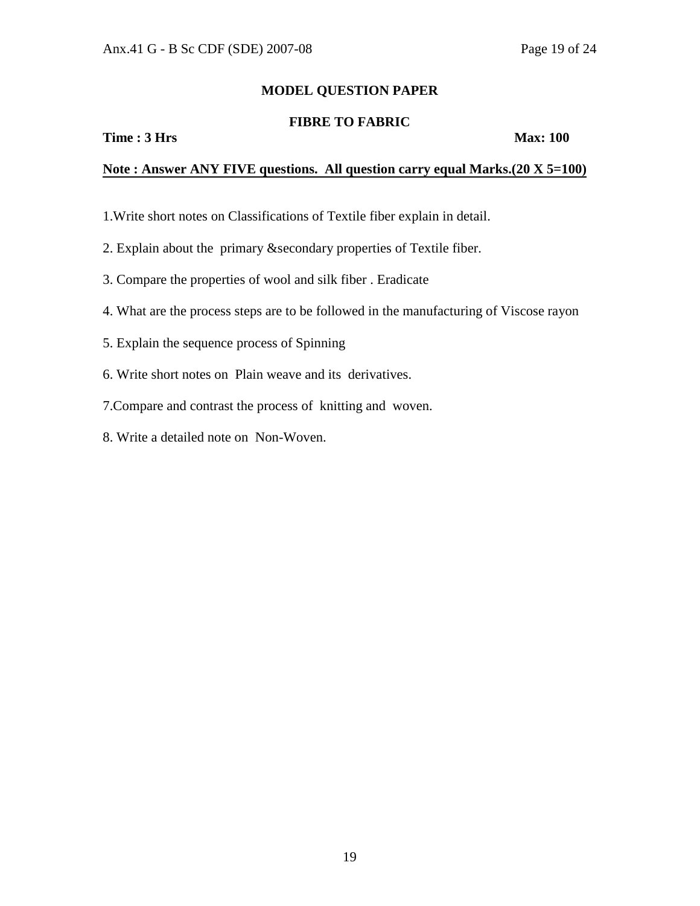# **FIBRE TO FABRIC**

**Time : 3 Hrs** Max: 100

### **Note : Answer ANY FIVE questions. All question carry equal Marks.(20 X 5=100)**

- 1.Write short notes on Classifications of Textile fiber explain in detail.
- 2. Explain about the primary &secondary properties of Textile fiber.
- 3. Compare the properties of wool and silk fiber . Eradicate
- 4. What are the process steps are to be followed in the manufacturing of Viscose rayon
- 5. Explain the sequence process of Spinning
- 6. Write short notes on Plain weave and its derivatives.
- 7.Compare and contrast the process of knitting and woven.
- 8. Write a detailed note on Non-Woven.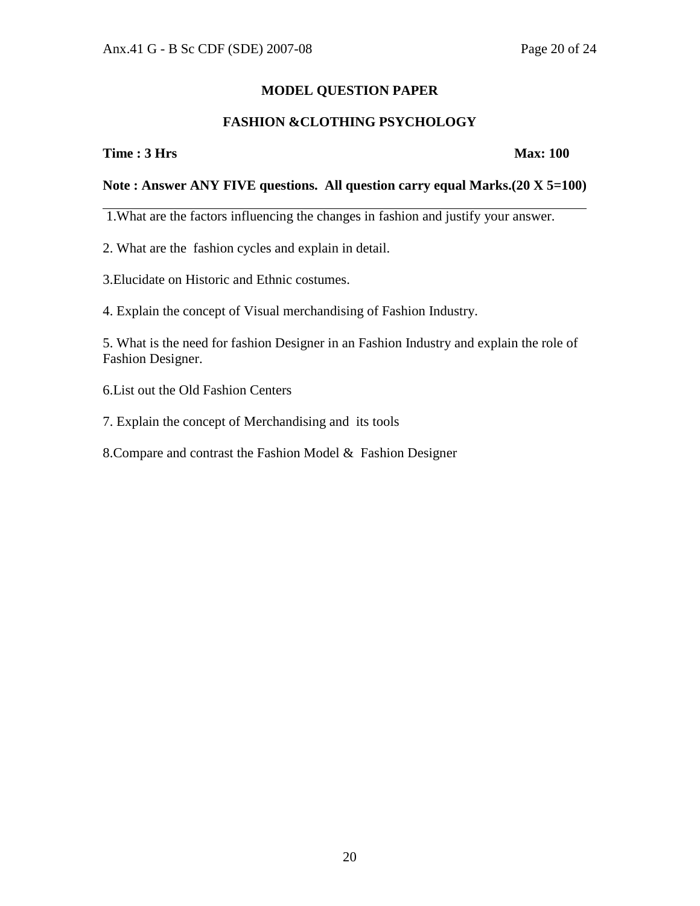# **FASHION &CLOTHING PSYCHOLOGY**

**Time : 3 Hrs** Max: 100

# **Note : Answer ANY FIVE questions. All question carry equal Marks.(20 X 5=100)**

1.What are the factors influencing the changes in fashion and justify your answer.

2. What are the fashion cycles and explain in detail.

3.Elucidate on Historic and Ethnic costumes.

4. Explain the concept of Visual merchandising of Fashion Industry.

5. What is the need for fashion Designer in an Fashion Industry and explain the role of Fashion Designer.

6.List out the Old Fashion Centers

7. Explain the concept of Merchandising and its tools

8.Compare and contrast the Fashion Model & Fashion Designer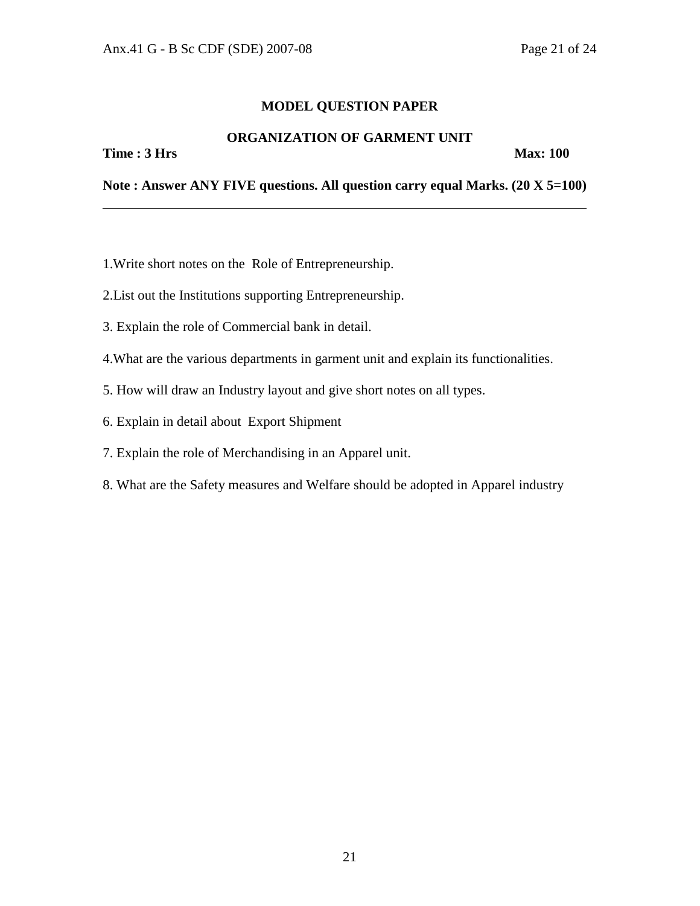# **ORGANIZATION OF GARMENT UNIT**

**Time : 3 Hrs** Max: 100

**Note : Answer ANY FIVE questions. All question carry equal Marks. (20 X 5=100)** 

- 1.Write short notes on the Role of Entrepreneurship.
- 2.List out the Institutions supporting Entrepreneurship.
- 3. Explain the role of Commercial bank in detail.
- 4.What are the various departments in garment unit and explain its functionalities.
- 5. How will draw an Industry layout and give short notes on all types.
- 6. Explain in detail about Export Shipment
- 7. Explain the role of Merchandising in an Apparel unit.
- 8. What are the Safety measures and Welfare should be adopted in Apparel industry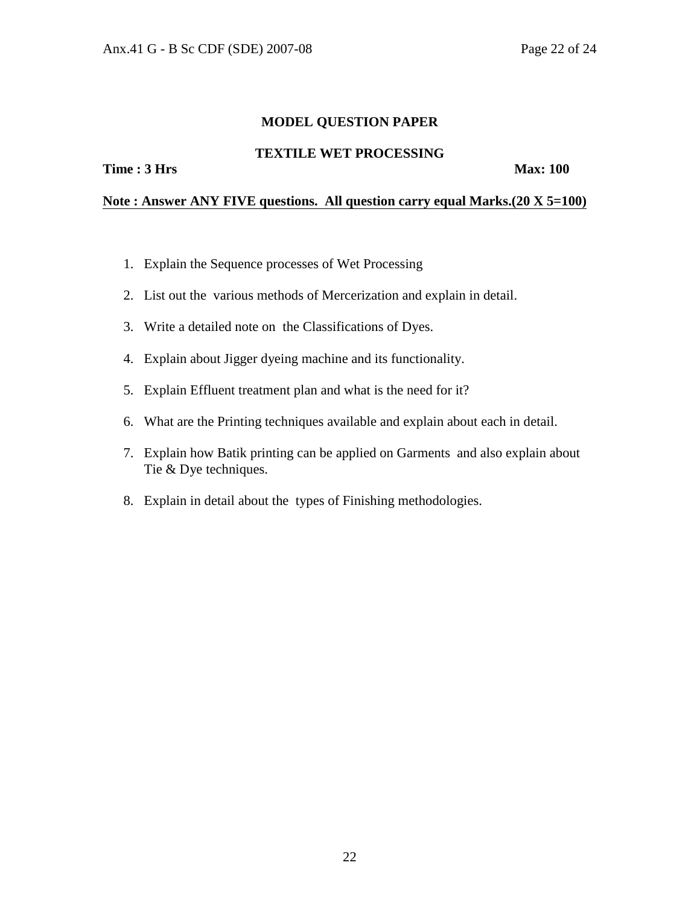#### **TEXTILE WET PROCESSING**

**Time : 3 Hrs** Max: 100

# **Note : Answer ANY FIVE questions. All question carry equal Marks.(20 X 5=100)**

- 1. Explain the Sequence processes of Wet Processing
- 2. List out the various methods of Mercerization and explain in detail.
- 3. Write a detailed note on the Classifications of Dyes.
- 4. Explain about Jigger dyeing machine and its functionality.
- 5. Explain Effluent treatment plan and what is the need for it?
- 6. What are the Printing techniques available and explain about each in detail.
- 7. Explain how Batik printing can be applied on Garments and also explain about Tie & Dye techniques.
- 8. Explain in detail about the types of Finishing methodologies.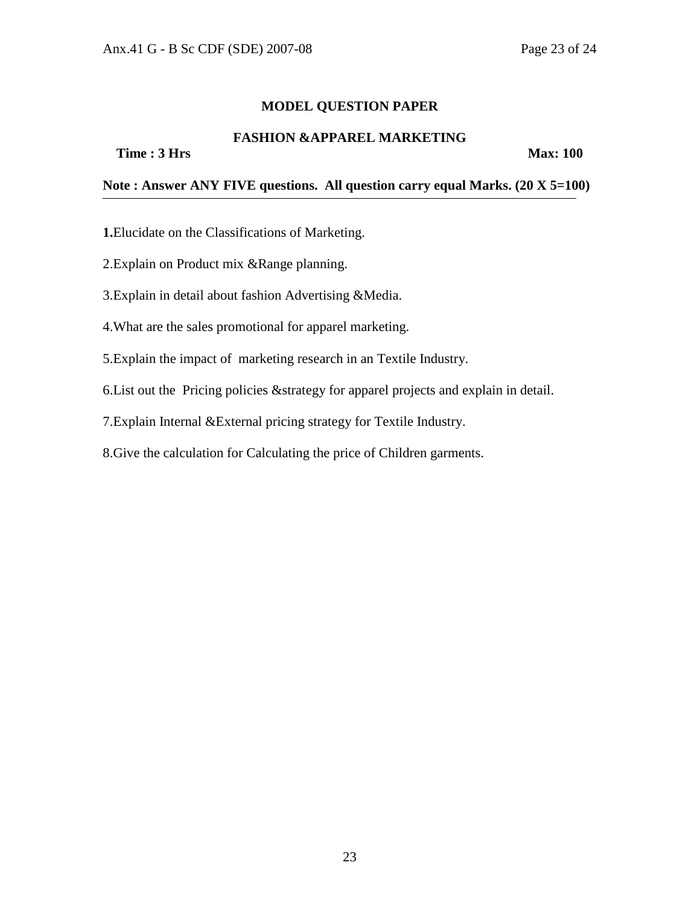# **FASHION &APPAREL MARKETING**

**Time : 3 Hrs** Max: 100

**Note : Answer ANY FIVE questions. All question carry equal Marks. (20 X 5=100)** 

**1.**Elucidate on the Classifications of Marketing.

2.Explain on Product mix &Range planning.

3.Explain in detail about fashion Advertising &Media.

4.What are the sales promotional for apparel marketing.

5.Explain the impact of marketing research in an Textile Industry.

6.List out the Pricing policies &strategy for apparel projects and explain in detail.

7.Explain Internal &External pricing strategy for Textile Industry.

8.Give the calculation for Calculating the price of Children garments.